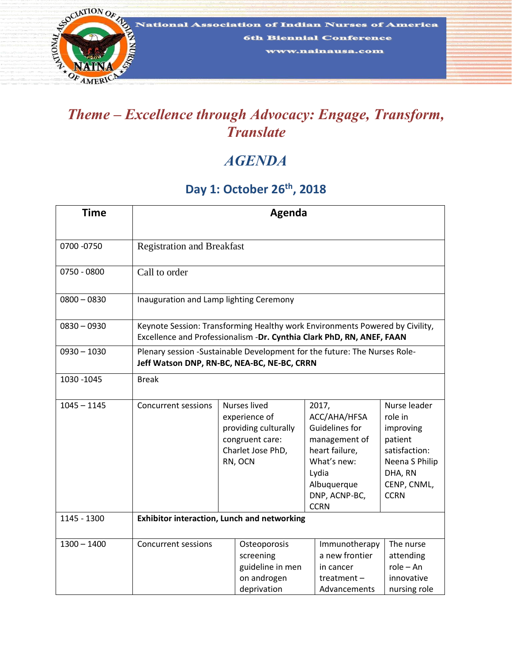

## *Translate*

## *AGENDA*

## **Day 1: October 26th , 2018**

| <b>Time</b>   | Agenda                                                                                                                                                |                                                                                                                 |                                                                             |  |                                                                                                                                                   |                                                                                                                             |
|---------------|-------------------------------------------------------------------------------------------------------------------------------------------------------|-----------------------------------------------------------------------------------------------------------------|-----------------------------------------------------------------------------|--|---------------------------------------------------------------------------------------------------------------------------------------------------|-----------------------------------------------------------------------------------------------------------------------------|
| 0700 - 0750   | <b>Registration and Breakfast</b>                                                                                                                     |                                                                                                                 |                                                                             |  |                                                                                                                                                   |                                                                                                                             |
| 0750 - 0800   | Call to order                                                                                                                                         |                                                                                                                 |                                                                             |  |                                                                                                                                                   |                                                                                                                             |
| $0800 - 0830$ | Inauguration and Lamp lighting Ceremony                                                                                                               |                                                                                                                 |                                                                             |  |                                                                                                                                                   |                                                                                                                             |
| $0830 - 0930$ | Keynote Session: Transforming Healthy work Environments Powered by Civility,<br>Excellence and Professionalism -Dr. Cynthia Clark PhD, RN, ANEF, FAAN |                                                                                                                 |                                                                             |  |                                                                                                                                                   |                                                                                                                             |
| $0930 - 1030$ | Plenary session -Sustainable Development for the future: The Nurses Role-<br>Jeff Watson DNP, RN-BC, NEA-BC, NE-BC, CRRN                              |                                                                                                                 |                                                                             |  |                                                                                                                                                   |                                                                                                                             |
| 1030 - 1045   | <b>Break</b>                                                                                                                                          |                                                                                                                 |                                                                             |  |                                                                                                                                                   |                                                                                                                             |
| $1045 - 1145$ | Concurrent sessions                                                                                                                                   | <b>Nurses lived</b><br>experience of<br>providing culturally<br>congruent care:<br>Charlet Jose PhD,<br>RN, OCN |                                                                             |  | 2017,<br>ACC/AHA/HFSA<br>Guidelines for<br>management of<br>heart failure,<br>What's new:<br>Lydia<br>Albuquerque<br>DNP, ACNP-BC,<br><b>CCRN</b> | Nurse leader<br>role in<br>improving<br>patient<br>satisfaction:<br>Neena S Philip<br>DHA, RN<br>CENP, CNML,<br><b>CCRN</b> |
| 1145 - 1300   | <b>Exhibitor interaction, Lunch and networking</b>                                                                                                    |                                                                                                                 |                                                                             |  |                                                                                                                                                   |                                                                                                                             |
| $1300 - 1400$ | <b>Concurrent sessions</b>                                                                                                                            |                                                                                                                 | Osteoporosis<br>screening<br>guideline in men<br>on androgen<br>deprivation |  | Immunotherapy<br>a new frontier<br>in cancer<br>treatment $-$<br>Advancements                                                                     | The nurse<br>attending<br>$role - An$<br>innovative<br>nursing role                                                         |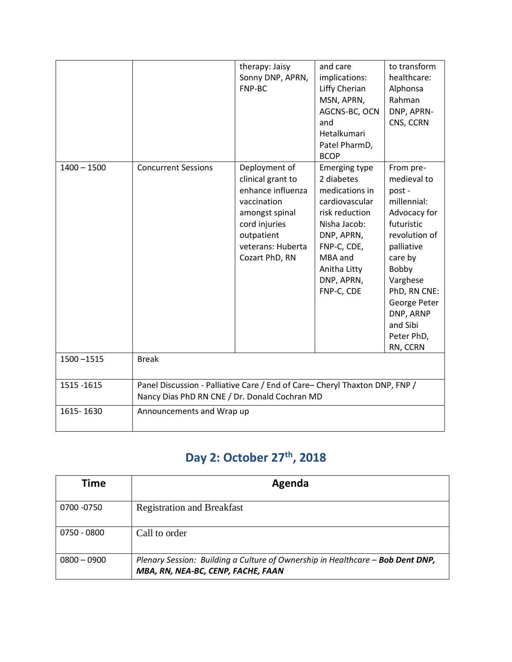|               |                                                                                                                              | therapy: Jaisy<br>Sonny DNP, APRN,<br>FNP-BC                                                                                                                   | and care<br>implications:<br>Liffy Cherian<br>MSN, APRN,<br>AGCNS-BC, OCN<br>and<br>Hetalkumari<br>Patel PharmD,<br><b>BCOP</b>                                                              | to transform<br>healthcare:<br>Alphonsa<br>Rahman<br>DNP, APRN-<br>CNS, CCRN                                                                                                                                                      |  |
|---------------|------------------------------------------------------------------------------------------------------------------------------|----------------------------------------------------------------------------------------------------------------------------------------------------------------|----------------------------------------------------------------------------------------------------------------------------------------------------------------------------------------------|-----------------------------------------------------------------------------------------------------------------------------------------------------------------------------------------------------------------------------------|--|
| $1400 - 1500$ | <b>Concurrent Sessions</b>                                                                                                   | Deployment of<br>clinical grant to<br>enhance influenza<br>vaccination<br>amongst spinal<br>cord injuries<br>outpatient<br>veterans: Huberta<br>Cozart PhD, RN | <b>Emerging type</b><br>2 diabetes<br>medications in<br>cardiovascular<br>risk reduction<br>Nisha Jacob:<br>DNP, APRN,<br>FNP-C, CDE,<br>MBA and<br>Anitha Litty<br>DNP, APRN,<br>FNP-C, CDE | From pre-<br>medieval to<br>post -<br>millennial:<br>Advocacy for<br>futuristic<br>revolution of<br>palliative<br>care by<br>Bobby<br>Varghese<br>PhD, RN CNE:<br>George Peter<br>DNP, ARNP<br>and Sibi<br>Peter PhD,<br>RN, CCRN |  |
| $1500 - 1515$ | <b>Break</b>                                                                                                                 |                                                                                                                                                                |                                                                                                                                                                                              |                                                                                                                                                                                                                                   |  |
| 1515 - 1615   | Panel Discussion - Palliative Care / End of Care- Cheryl Thaxton DNP, FNP /<br>Nancy Dias PhD RN CNE / Dr. Donald Cochran MD |                                                                                                                                                                |                                                                                                                                                                                              |                                                                                                                                                                                                                                   |  |
| 1615-1630     | Announcements and Wrap up                                                                                                    |                                                                                                                                                                |                                                                                                                                                                                              |                                                                                                                                                                                                                                   |  |

## **Day 2: October 27th, 2018**

| Time          | Agenda                                                                                                               |
|---------------|----------------------------------------------------------------------------------------------------------------------|
| 0700 -0750    | <b>Registration and Breakfast</b>                                                                                    |
| 0750 - 0800   | Call to order                                                                                                        |
| $0800 - 0900$ | Plenary Session: Building a Culture of Ownership in Healthcare - Bob Dent DNP,<br>MBA, RN, NEA-BC, CENP, FACHE, FAAN |